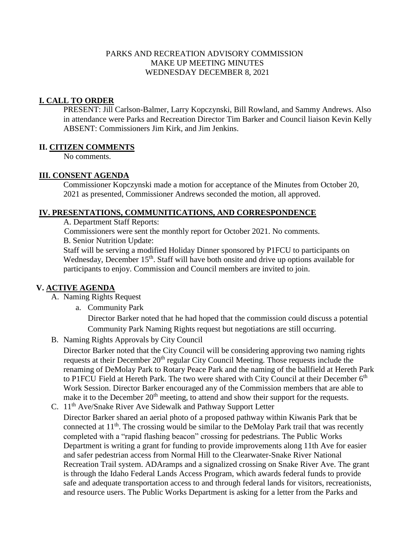#### PARKS AND RECREATION ADVISORY COMMISSION MAKE UP MEETING MINUTES WEDNESDAY DECEMBER 8, 2021

#### **I. CALL TO ORDER**

PRESENT: Jill Carlson-Balmer, Larry Kopczynski, Bill Rowland, and Sammy Andrews. Also in attendance were Parks and Recreation Director Tim Barker and Council liaison Kevin Kelly ABSENT: Commissioners Jim Kirk, and Jim Jenkins.

#### **II. CITIZEN COMMENTS**

No comments.

## **III. CONSENT AGENDA**

Commissioner Kopczynski made a motion for acceptance of the Minutes from October 20, 2021 as presented, Commissioner Andrews seconded the motion, all approved.

#### **IV. PRESENTATIONS, COMMUNITICATIONS, AND CORRESPONDENCE**

A. Department Staff Reports:

Commissioners were sent the monthly report for October 2021. No comments. B. Senior Nutrition Update:

Staff will be serving a modified Holiday Dinner sponsored by P1FCU to participants on Wednesday, December 15<sup>th</sup>. Staff will have both onsite and drive up options available for participants to enjoy. Commission and Council members are invited to join.

## **V. ACTIVE AGENDA**

- A. Naming Rights Request
	- a. Community Park

Director Barker noted that he had hoped that the commission could discuss a potential Community Park Naming Rights request but negotiations are still occurring.

B. Naming Rights Approvals by City Council

Director Barker noted that the City Council will be considering approving two naming rights requests at their December  $20<sup>th</sup>$  regular City Council Meeting. Those requests include the renaming of DeMolay Park to Rotary Peace Park and the naming of the ballfield at Hereth Park to P1FCU Field at Hereth Park. The two were shared with City Council at their December  $6<sup>th</sup>$ Work Session. Director Barker encouraged any of the Commission members that are able to make it to the December  $20<sup>th</sup>$  meeting, to attend and show their support for the requests.

C. 11th Ave/Snake River Ave Sidewalk and Pathway Support Letter Director Barker shared an aerial photo of a proposed pathway within Kiwanis Park that be connected at  $11<sup>th</sup>$ . The crossing would be similar to the DeMolay Park trail that was recently completed with a "rapid flashing beacon" crossing for pedestrians. The Public Works Department is writing a grant for funding to provide improvements along 11th Ave for easier and safer pedestrian access from Normal Hill to the Clearwater-Snake River National Recreation Trail system. ADAramps and a signalized crossing on Snake River Ave. The grant is through the Idaho Federal Lands Access Program, which awards federal funds to provide safe and adequate transportation access to and through federal lands for visitors, recreationists, and resource users. The Public Works Department is asking for a letter from the Parks and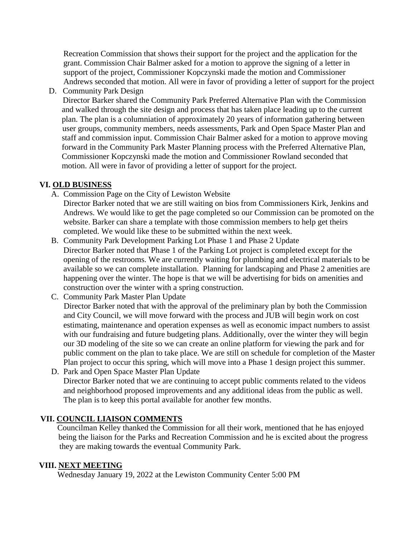Recreation Commission that shows their support for the project and the application for the grant. Commission Chair Balmer asked for a motion to approve the signing of a letter in support of the project, Commissioner Kopczynski made the motion and Commissioner Andrews seconded that motion. All were in favor of providing a letter of support for the project

D. Community Park Design

Director Barker shared the Community Park Preferred Alternative Plan with the Commission and walked through the site design and process that has taken place leading up to the current plan. The plan is a columniation of approximately 20 years of information gathering between user groups, community members, needs assessments, Park and Open Space Master Plan and staff and commission input. Commission Chair Balmer asked for a motion to approve moving forward in the Community Park Master Planning process with the Preferred Alternative Plan, Commissioner Kopczynski made the motion and Commissioner Rowland seconded that motion. All were in favor of providing a letter of support for the project.

## **VI. OLD BUSINESS**

A. Commission Page on the City of Lewiston Website

Director Barker noted that we are still waiting on bios from Commissioners Kirk, Jenkins and Andrews. We would like to get the page completed so our Commission can be promoted on the website. Barker can share a template with those commission members to help get theirs completed. We would like these to be submitted within the next week.

- B. Community Park Development Parking Lot Phase 1 and Phase 2 Update Director Barker noted that Phase 1 of the Parking Lot project is completed except for the opening of the restrooms. We are currently waiting for plumbing and electrical materials to be available so we can complete installation. Planning for landscaping and Phase 2 amenities are happening over the winter. The hope is that we will be advertising for bids on amenities and construction over the winter with a spring construction.
- C. Community Park Master Plan Update Director Barker noted that with the approval of the preliminary plan by both the Commission and City Council, we will move forward with the process and JUB will begin work on cost estimating, maintenance and operation expenses as well as economic impact numbers to assist with our fundraising and future budgeting plans. Additionally, over the winter they will begin our 3D modeling of the site so we can create an online platform for viewing the park and for public comment on the plan to take place. We are still on schedule for completion of the Master Plan project to occur this spring, which will move into a Phase 1 design project this summer. D. Park and Open Space Master Plan Update
- Director Barker noted that we are continuing to accept public comments related to the videos and neighborhood proposed improvements and any additional ideas from the public as well. The plan is to keep this portal available for another few months.

## **VII. COUNCIL LIAISON COMMENTS**

Councilman Kelley thanked the Commission for all their work, mentioned that he has enjoyed being the liaison for the Parks and Recreation Commission and he is excited about the progress they are making towards the eventual Community Park.

## **VIII. NEXT MEETING**

Wednesday January 19, 2022 at the Lewiston Community Center 5:00 PM